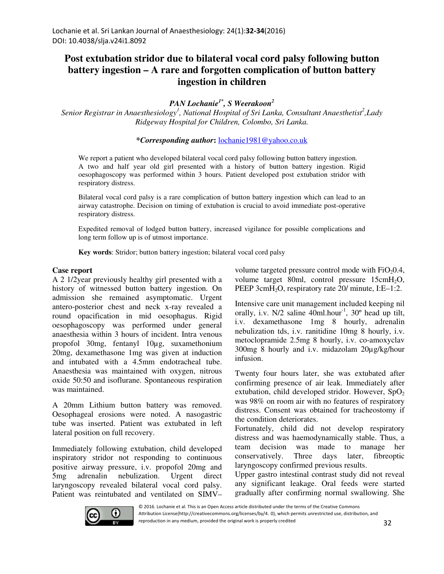## **Post extubation stridor due to bilateral vocal cord palsy following button battery ingestion – A rare and forgotten complication of button battery ingestion in children**

*PAN Lochanie1\*, S Weerakoon<sup>2</sup>*

*Senior Registrar in Anaesthesiology<sup>1</sup> , National Hospital of Sri Lanka, Consultant Anaesthetist<sup>2</sup> ,Lady Ridgeway Hospital for Children, Colombo, Sri Lanka.*

**\****Corresponding author***:** lochanie1981@yahoo.co.uk

We report a patient who developed bilateral vocal cord palsy following button battery ingestion. A two and half year old girl presented with a history of button battery ingestion. Rigid oesophagoscopy was performed within 3 hours. Patient developed post extubation stridor with respiratory distress.

Bilateral vocal cord palsy is a rare complication of button battery ingestion which can lead to an airway catastrophe. Decision on timing of extubation is crucial to avoid immediate post-operative respiratory distress.

Expedited removal of lodged button battery, increased vigilance for possible complications and long term follow up is of utmost importance.

**Key words**: Stridor; button battery ingestion; bilateral vocal cord palsy

## **Case report**

A 2 1/2year previously healthy girl presented with a history of witnessed button battery ingestion. On admission she remained asymptomatic. Urgent antero-posterior chest and neck x-ray revealed a round opacification in mid oesophagus. Rigid oesophagoscopy was performed under general anaesthesia within 3 hours of incident. Intra venous propofol 30mg, fentanyl 10µg, suxamethonium 20mg, dexamethasone 1mg was given at induction and intubated with a 4.5mm endotracheal tube. Anaesthesia was maintained with oxygen, nitrous oxide 50:50 and isoflurane. Spontaneous respiration was maintained.

A 20mm Lithium button battery was removed. Oesophageal erosions were noted. A nasogastric tube was inserted. Patient was extubated in left lateral position on full recovery.

Immediately following extubation, child developed inspiratory stridor not responding to continuous positive airway pressure, i.v. propofol 20mg and 5mg adrenalin nebulization. Urgent direct laryngoscopy revealed bilateral vocal cord palsy. Patient was reintubated and ventilated on SIMV– volume targeted pressure control mode with  $FiO<sub>2</sub>0.4$ , volume target 80ml, control pressure 15cmH<sub>2</sub>O, PEEP 3cmH<sub>2</sub>O, respiratory rate 20/ minute, I:E–1:2.

Intensive care unit management included keeping nil orally, i.v.  $N/2$  saline  $40$ ml.hour<sup>-1</sup>,  $30^{\circ}$  head up tilt, i.v. dexamethasone 1mg 8 hourly, adrenalin nebulization tds, i.v. ranitidine 10mg 8 hourly, i.v. metoclopramide 2.5mg 8 hourly, i.v. co-amoxyclav 300mg 8 hourly and i.v. midazolam 20µg/kg/hour infusion.

Twenty four hours later, she was extubated after confirming presence of air leak. Immediately after extubation, child developed stridor. However,  $SpO<sub>2</sub>$ was 98% on room air with no features of respiratory distress. Consent was obtained for tracheostomy if the condition deteriorates.

Fortunately, child did not develop respiratory distress and was haemodynamically stable. Thus, a team decision was made to manage her conservatively. Three days later, fibreoptic laryngoscopy confirmed previous results.

Upper gastro intestinal contrast study did not reveal any significant leakage. Oral feeds were started gradually after confirming normal swallowing. She



© 2016. Lochanie et al. This is an Open Access article distributed under the terms of the Creative Commons Attribution License(http://creativecommons.org/licenses/by/4. 0), which permits unrestricted use, distribution, and reproduction in any medium, provided the original work is properly credited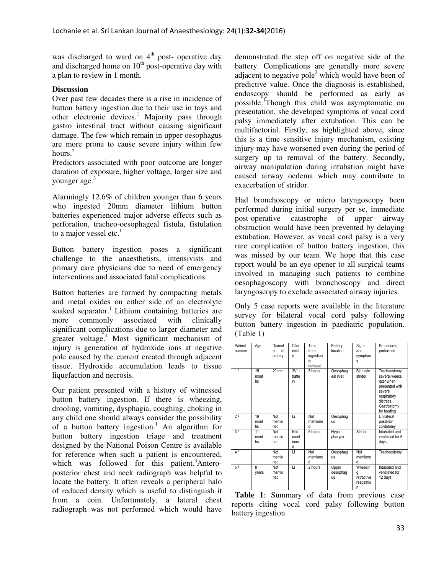was discharged to ward on  $4<sup>th</sup>$  post- operative day and discharged home on  $10<sup>th</sup>$  post-operative day with a plan to review in 1 month.

## **Discussion**

Over past few decades there is a rise in incidence of button battery ingestion due to their use in toys and other electronic devices.<sup>1</sup> Majority pass through gastro intestinal tract without causing significant damage. The few which remain in upper oesophagus are more prone to cause severe injury within few hours. $2$ 

Predictors associated with poor outcome are longer duration of exposure, higher voltage, larger size and younger age.<sup>3</sup>

Alarmingly 12.6% of children younger than 6 years who ingested 20mm diameter lithium button batteries experienced major adverse effects such as perforation, tracheo-oesophageal fistula, fistulation to a major vessel etc. $<sup>1</sup>$ </sup>

Button battery ingestion poses a significant challenge to the anaesthetists, intensivists and primary care physicians due to need of emergency interventions and associated fatal complications.

Button batteries are formed by compacting metals and metal oxides on either side of an electrolyte soaked separator.<sup>1</sup> Lithium containing batteries are more commonly associated with clinically significant complications due to larger diameter and greater voltage.<sup>4</sup> Most significant mechanism of injury is generation of hydroxide ions at negative pole caused by the current created through adjacent tissue. Hydroxide accumulation leads to tissue liquefaction and necrosis.

Our patient presented with a history of witnessed button battery ingestion. If there is wheezing, drooling, vomiting, dysphagia, coughing, choking in any child one should always consider the possibility of a button battery ingestion.<sup>1</sup> An algorithm for button battery ingestion triage and treatment designed by the National Poison Centre is available for reference when such a patient is encountered, which was followed for this patient.<sup>3</sup>Anteroposterior chest and neck radiograph was helpful to locate the battery. It often reveals a peripheral halo of reduced density which is useful to distinguish it from a coin. Unfortunately, a lateral chest radiograph was not performed which would have

demonstrated the step off on negative side of the battery. Complications are generally more severe adjacent to negative pole<sup>3</sup> which would have been of predictive value. Once the diagnosis is established, endoscopy should be performed as early as possible.<sup>1</sup>Though this child was asymptomatic on presentation, she developed symptoms of vocal cord palsy immediately after extubation. This can be multifactorial. Firstly, as highlighted above, since this is a time sensitive injury mechanism, existing injury may have worsened even during the period of surgery up to removal of the battery. Secondly, airway manipulation during intubation might have caused airway oedema which may contribute to exacerbation of stridor.

Had bronchoscopy or micro laryngoscopy been performed during initial surgery per se, immediate post-operative catastrophe of upper airway obstruction would have been prevented by delaying extubation. However, as vocal cord palsy is a very rare complication of button battery ingestion, this was missed by our team. We hope that this case report would be an eye opener to all surgical teams involved in managing such patients to combine oesophagoscopy with bronchoscopy and direct laryngoscopy to exclude associated airway injuries.

Only 5 case reports were available in the literature survey for bilateral vocal cord palsy following button battery ingestion in paediatric population. (Table 1)

| Patient<br>number | Age              | Diamet<br>of<br>er<br>battery | Che<br>mistr<br>٧               | Time<br>from<br>ingestion<br>to<br>removal | Battery<br>location            | Signs<br>and<br>symptom<br>S                   | Procedures<br>performed                                                                                                           |
|-------------------|------------------|-------------------------------|---------------------------------|--------------------------------------------|--------------------------------|------------------------------------------------|-----------------------------------------------------------------------------------------------------------------------------------|
| 15                | 15<br>mont<br>hs | $20 \text{ mm}$               | 3V <sub>Li</sub><br>batte<br>ry | 5 hours                                    | Oesophag<br>eal inlet          | Biphasic<br>stridor                            | Tracheostomy<br>several weeks<br>later when<br>presented with<br>severe<br>respiratory<br>distress.<br>Gastrostomy<br>for feeding |
| 26                | 16<br>mont<br>hs | Not<br>mentio<br>ned          | Ιi                              | Not<br>mentione<br>d                       | Oesophag<br><b>US</b>          |                                                | Unilateral<br>posterior<br>cordotomy                                                                                              |
| 3 <sup>7</sup>    | 11<br>mont<br>hs | Not<br>mentio<br>ned          | Not<br>ment<br>ione<br>d        | 5 hours                                    | Hypo<br>pharynx                | Stridor                                        | Intubated and<br>ventilated for 6<br>days                                                                                         |
| 48                |                  | Not<br>mentio<br>ned          | τi                              | Not<br>mentione<br>d                       | Oesophag<br><b>US</b>          | Not<br>mentione<br>d                           | Tracheostomy                                                                                                                      |
| 5 <sup>9</sup>    | 8<br>years       | Not<br>mentio<br>ned          | Li                              | 2 hours                                    | Upper<br>oesophag<br><b>US</b> | Wheezin<br>g,<br>retractive<br>respiratio<br>n | Intubated and<br>ventilated for<br>12 days                                                                                        |

**Table 1**: Summary of data from previous case reports citing vocal cord palsy following button battery ingestion